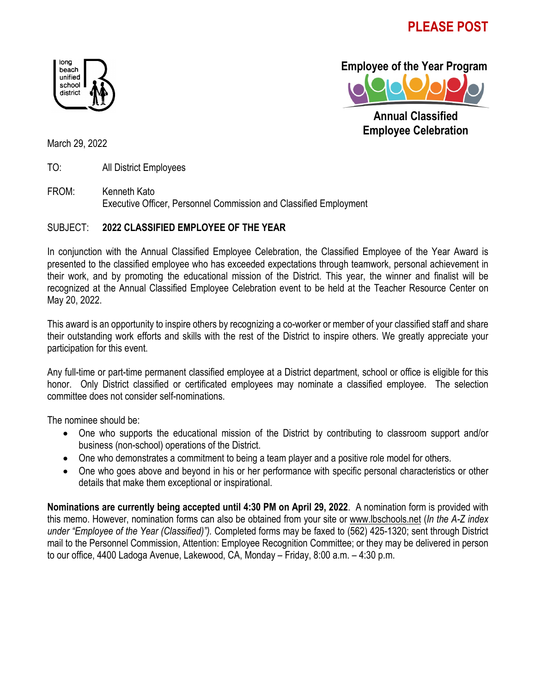## **PLEASE POST**





 **Annual Classified Employee Celebration**

March 29, 2022

TO: All District Employees

FROM: Kenneth Kato Executive Officer, Personnel Commission and Classified Employment

## SUBJECT: **2022 CLASSIFIED EMPLOYEE OF THE YEAR**

In conjunction with the Annual Classified Employee Celebration, the Classified Employee of the Year Award is presented to the classified employee who has exceeded expectations through teamwork, personal achievement in their work, and by promoting the educational mission of the District. This year, the winner and finalist will be recognized at the Annual Classified Employee Celebration event to be held at the Teacher Resource Center on May 20, 2022.

This award is an opportunity to inspire others by recognizing a co-worker or member of your classified staff and share their outstanding work efforts and skills with the rest of the District to inspire others. We greatly appreciate your participation for this event.

Any full-time or part-time permanent classified employee at a District department, school or office is eligible for this honor. Only District classified or certificated employees may nominate a classified employee. The selection committee does not consider self-nominations.

The nominee should be:

- One who supports the educational mission of the District by contributing to classroom support and/or business (non-school) operations of the District.
- One who demonstrates a commitment to being a team player and a positive role model for others.
- One who goes above and beyond in his or her performance with specific personal characteristics or other details that make them exceptional or inspirational.

**Nominations are currently being accepted until 4:30 PM on April 29, 2022**. A nomination form is provided with this memo. However, nomination forms can also be obtained from your site or www.lbschools.net (*In the A-Z index under "Employee of the Year (Classified)").* Completed forms may be faxed to (562) 425-1320; sent through District mail to the Personnel Commission, Attention: Employee Recognition Committee; or they may be delivered in person to our office, 4400 Ladoga Avenue, Lakewood, CA, Monday – Friday, 8:00 a.m. – 4:30 p.m.